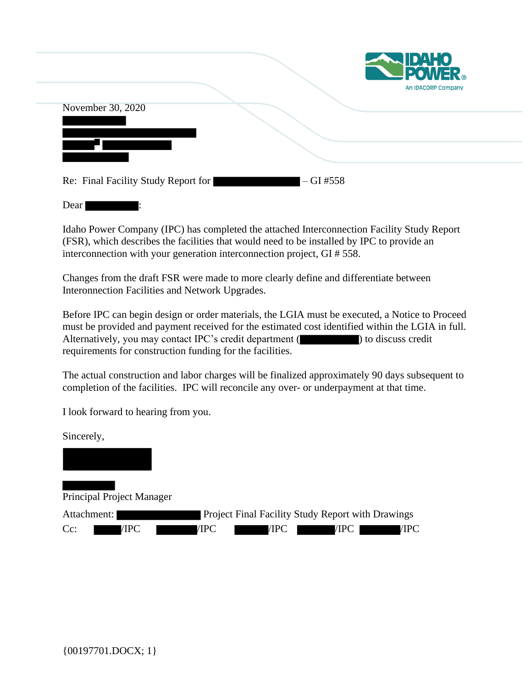



Dear |

Idaho Power Company (IPC) has completed the attached Interconnection Facility Study Report (FSR), which describes the facilities that would need to be installed by IPC to provide an interconnection with your generation interconnection project, GI # 558.

Changes from the draft FSR were made to more clearly define and differentiate between Interonnection Facilities and Network Upgrades.

Before IPC can begin design or order materials, the LGIA must be executed, a Notice to Proceed must be provided and payment received for the estimated cost identified within the LGIA in full. Alternatively, you may contact IPC's credit department ( ) to discuss credit requirements for construction funding for the facilities.

The actual construction and labor charges will be finalized approximately 90 days subsequent to completion of the facilities. IPC will reconcile any over- or underpayment at that time.

I look forward to hearing from you.

Sincerely,

Principal Project Manager

Attachment: Project Final Facility Study Report with Drawings Cc: /IPC /IPC /IPC /IPC /IPC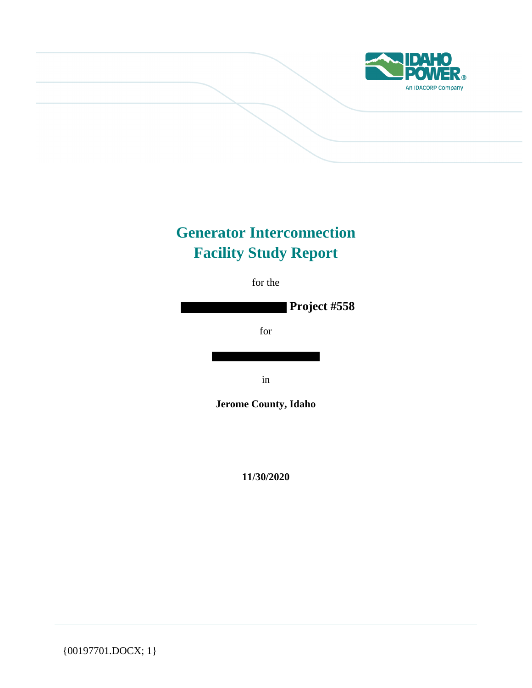

# **Generator Interconnection Facility Study Report**

for the

**Project #558**

for

in

**Jerome County, Idaho**

**11/30/2020**

{00197701.DOCX; 1}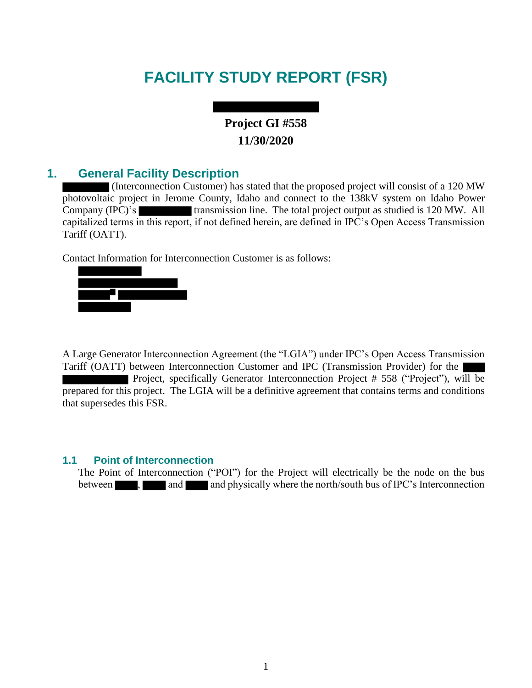# **FACILITY STUDY REPORT (FSR)**

# **Project GI #558 11/30/2020**

## **1. General Facility Description**

(Interconnection Customer) has stated that the proposed project will consist of a 120 MW photovoltaic project in Jerome County, Idaho and connect to the 138kV system on Idaho Power Company (IPC)'s transmission line. The total project output as studied is 120 MW. All capitalized terms in this report, if not defined herein, are defined in IPC's Open Access Transmission Tariff (OATT).

Contact Information for Interconnection Customer is as follows:



A Large Generator Interconnection Agreement (the "LGIA") under IPC's Open Access Transmission Tariff (OATT) between Interconnection Customer and IPC (Transmission Provider) for the Project, specifically Generator Interconnection Project # 558 ("Project"), will be prepared for this project. The LGIA will be a definitive agreement that contains terms and conditions that supersedes this FSR.

### **1.1 Point of Interconnection**

The Point of Interconnection ("POI") for the Project will electrically be the node on the bus between , and and physically where the north/south bus of IPC's Interconnection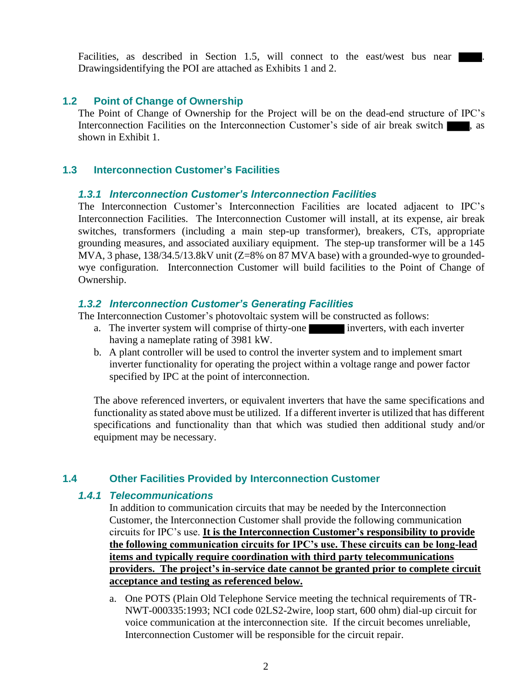Facilities, as described in Section 1.5, will connect to the east/west bus near Drawingsidentifying the POI are attached as Exhibits 1 and 2.

### **1.2 Point of Change of Ownership**

The Point of Change of Ownership for the Project will be on the dead-end structure of IPC's Interconnection Facilities on the Interconnection Customer's side of air break switch  $\blacksquare$ , as shown in Exhibit 1.

### **1.3 Interconnection Customer's Facilities**

### *1.3.1 Interconnection Customer's Interconnection Facilities*

The Interconnection Customer's Interconnection Facilities are located adjacent to IPC's Interconnection Facilities. The Interconnection Customer will install, at its expense, air break switches, transformers (including a main step-up transformer), breakers, CTs, appropriate grounding measures, and associated auxiliary equipment. The step-up transformer will be a 145 MVA, 3 phase, 138/34.5/13.8kV unit (Z=8% on 87 MVA base) with a grounded-wye to groundedwye configuration. Interconnection Customer will build facilities to the Point of Change of Ownership.

### *1.3.2 Interconnection Customer's Generating Facilities*

The Interconnection Customer's photovoltaic system will be constructed as follows:

- a. The inverter system will comprise of thirty-one inverters, with each inverter having a nameplate rating of 3981 kW.
- b. A plant controller will be used to control the inverter system and to implement smart inverter functionality for operating the project within a voltage range and power factor specified by IPC at the point of interconnection.

The above referenced inverters, or equivalent inverters that have the same specifications and functionality as stated above must be utilized. If a different inverter is utilized that has different specifications and functionality than that which was studied then additional study and/or equipment may be necessary.

### **1.4 Other Facilities Provided by Interconnection Customer**

### *1.4.1 Telecommunications*

In addition to communication circuits that may be needed by the Interconnection Customer, the Interconnection Customer shall provide the following communication circuits for IPC's use. **It is the Interconnection Customer's responsibility to provide the following communication circuits for IPC's use. These circuits can be long-lead items and typically require coordination with third party telecommunications providers. The project's in-service date cannot be granted prior to complete circuit acceptance and testing as referenced below.** 

a. One POTS (Plain Old Telephone Service meeting the technical requirements of TR-NWT-000335:1993; NCI code 02LS2-2wire, loop start, 600 ohm) dial-up circuit for voice communication at the interconnection site. If the circuit becomes unreliable, Interconnection Customer will be responsible for the circuit repair.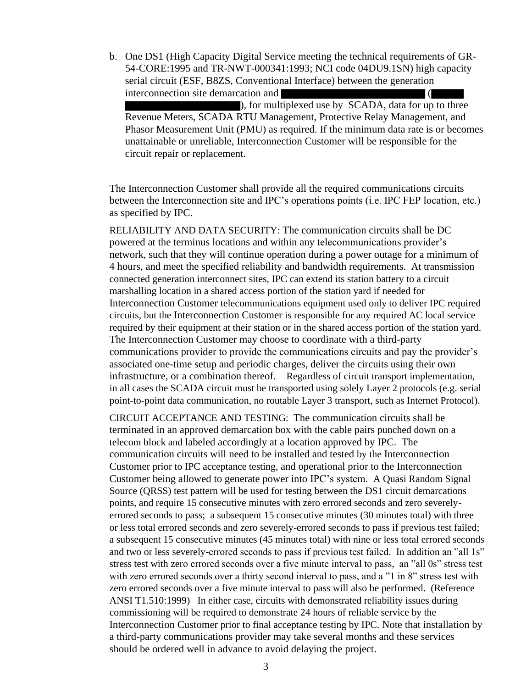b. One DS1 (High Capacity Digital Service meeting the technical requirements of GR-54-CORE:1995 and TR-NWT-000341:1993; NCI code 04DU9.1SN) high capacity serial circuit (ESF, B8ZS, Conventional Interface) between the generation interconnection site demarcation and

), for multiplexed use by SCADA, data for up to three Revenue Meters, SCADA RTU Management, Protective Relay Management, and Phasor Measurement Unit (PMU) as required. If the minimum data rate is or becomes unattainable or unreliable, Interconnection Customer will be responsible for the circuit repair or replacement.

The Interconnection Customer shall provide all the required communications circuits between the Interconnection site and IPC's operations points (i.e. IPC FEP location, etc.) as specified by IPC.

RELIABILITY AND DATA SECURITY: The communication circuits shall be DC powered at the terminus locations and within any telecommunications provider's network, such that they will continue operation during a power outage for a minimum of 4 hours, and meet the specified reliability and bandwidth requirements. At transmission connected generation interconnect sites, IPC can extend its station battery to a circuit marshalling location in a shared access portion of the station yard if needed for Interconnection Customer telecommunications equipment used only to deliver IPC required circuits, but the Interconnection Customer is responsible for any required AC local service required by their equipment at their station or in the shared access portion of the station yard. The Interconnection Customer may choose to coordinate with a third-party communications provider to provide the communications circuits and pay the provider's associated one-time setup and periodic charges, deliver the circuits using their own infrastructure, or a combination thereof. Regardless of circuit transport implementation, in all cases the SCADA circuit must be transported using solely Layer 2 protocols (e.g. serial point-to-point data communication, no routable Layer 3 transport, such as Internet Protocol).

CIRCUIT ACCEPTANCE AND TESTING: The communication circuits shall be terminated in an approved demarcation box with the cable pairs punched down on a telecom block and labeled accordingly at a location approved by IPC. The communication circuits will need to be installed and tested by the Interconnection Customer prior to IPC acceptance testing, and operational prior to the Interconnection Customer being allowed to generate power into IPC's system. A Quasi Random Signal Source (QRSS) test pattern will be used for testing between the DS1 circuit demarcations points, and require 15 consecutive minutes with zero errored seconds and zero severelyerrored seconds to pass; a subsequent 15 consecutive minutes (30 minutes total) with three or less total errored seconds and zero severely-errored seconds to pass if previous test failed; a subsequent 15 consecutive minutes (45 minutes total) with nine or less total errored seconds and two or less severely-errored seconds to pass if previous test failed. In addition an "all 1s" stress test with zero errored seconds over a five minute interval to pass, an "all 0s" stress test with zero errored seconds over a thirty second interval to pass, and a "1 in 8" stress test with zero errored seconds over a five minute interval to pass will also be performed. (Reference ANSI T1.510:1999) In either case, circuits with demonstrated reliability issues during commissioning will be required to demonstrate 24 hours of reliable service by the Interconnection Customer prior to final acceptance testing by IPC. Note that installation by a third-party communications provider may take several months and these services should be ordered well in advance to avoid delaying the project.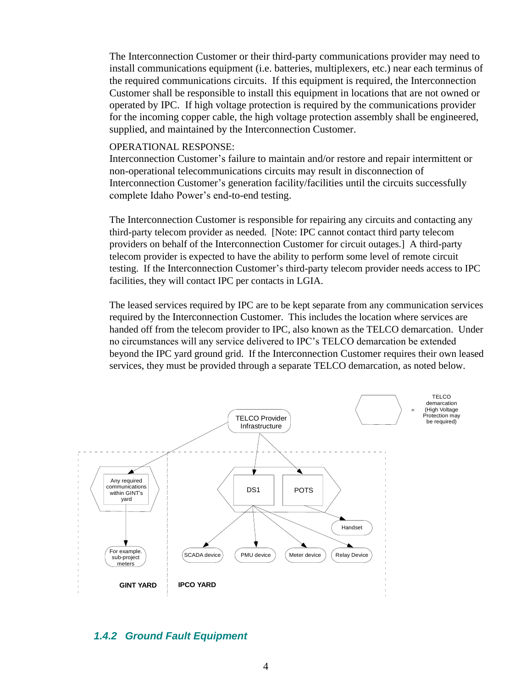The Interconnection Customer or their third-party communications provider may need to install communications equipment (i.e. batteries, multiplexers, etc.) near each terminus of the required communications circuits. If this equipment is required, the Interconnection Customer shall be responsible to install this equipment in locations that are not owned or operated by IPC. If high voltage protection is required by the communications provider for the incoming copper cable, the high voltage protection assembly shall be engineered, supplied, and maintained by the Interconnection Customer.

#### OPERATIONAL RESPONSE:

Interconnection Customer's failure to maintain and/or restore and repair intermittent or non-operational telecommunications circuits may result in disconnection of Interconnection Customer's generation facility/facilities until the circuits successfully complete Idaho Power's end-to-end testing.

The Interconnection Customer is responsible for repairing any circuits and contacting any third-party telecom provider as needed. [Note: IPC cannot contact third party telecom providers on behalf of the Interconnection Customer for circuit outages.] A third-party telecom provider is expected to have the ability to perform some level of remote circuit testing. If the Interconnection Customer's third-party telecom provider needs access to IPC facilities, they will contact IPC per contacts in LGIA.

The leased services required by IPC are to be kept separate from any communication services required by the Interconnection Customer. This includes the location where services are handed off from the telecom provider to IPC, also known as the TELCO demarcation. Under no circumstances will any service delivered to IPC's TELCO demarcation be extended beyond the IPC yard ground grid. If the Interconnection Customer requires their own leased services, they must be provided through a separate TELCO demarcation, as noted below.



### *1.4.2 Ground Fault Equipment*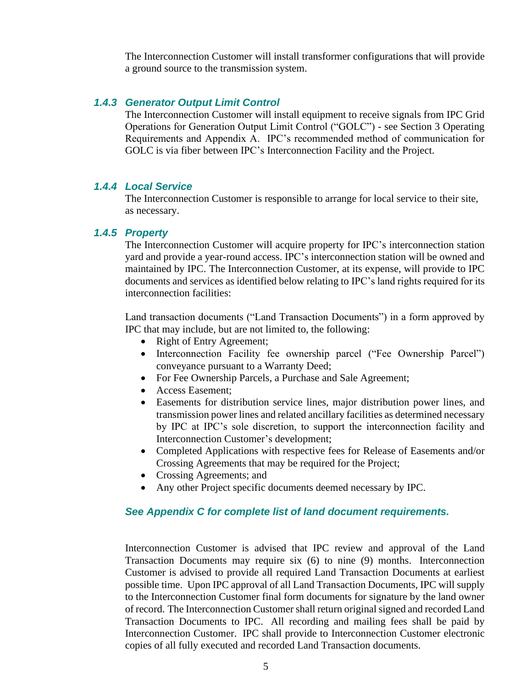The Interconnection Customer will install transformer configurations that will provide a ground source to the transmission system.

#### *1.4.3 Generator Output Limit Control*

The Interconnection Customer will install equipment to receive signals from IPC Grid Operations for Generation Output Limit Control ("GOLC") - see Section 3 Operating Requirements and Appendix A. IPC's recommended method of communication for GOLC is via fiber between IPC's Interconnection Facility and the Project.

#### *1.4.4 Local Service*

The Interconnection Customer is responsible to arrange for local service to their site, as necessary.

#### *1.4.5 Property*

The Interconnection Customer will acquire property for IPC's interconnection station yard and provide a year-round access. IPC's interconnection station will be owned and maintained by IPC. The Interconnection Customer, at its expense, will provide to IPC documents and services as identified below relating to IPC's land rights required for its interconnection facilities:

Land transaction documents ("Land Transaction Documents") in a form approved by IPC that may include, but are not limited to, the following:

- Right of Entry Agreement;
- Interconnection Facility fee ownership parcel ("Fee Ownership Parcel") conveyance pursuant to a Warranty Deed;
- For Fee Ownership Parcels, a Purchase and Sale Agreement;
- Access Easement;
- Easements for distribution service lines, major distribution power lines, and transmission power lines and related ancillary facilities as determined necessary by IPC at IPC's sole discretion, to support the interconnection facility and Interconnection Customer's development;
- Completed Applications with respective fees for Release of Easements and/or Crossing Agreements that may be required for the Project;
- Crossing Agreements; and
- Any other Project specific documents deemed necessary by IPC.

#### *See Appendix C for complete list of land document requirements.*

Interconnection Customer is advised that IPC review and approval of the Land Transaction Documents may require six (6) to nine (9) months. Interconnection Customer is advised to provide all required Land Transaction Documents at earliest possible time. Upon IPC approval of all Land Transaction Documents, IPC will supply to the Interconnection Customer final form documents for signature by the land owner of record. The Interconnection Customershall return original signed and recorded Land Transaction Documents to IPC. All recording and mailing fees shall be paid by Interconnection Customer. IPC shall provide to Interconnection Customer electronic copies of all fully executed and recorded Land Transaction documents.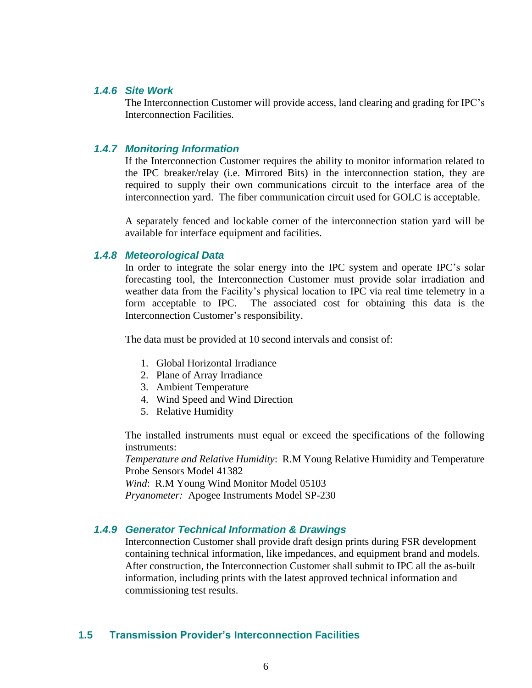#### *1.4.6 Site Work*

The Interconnection Customer will provide access, land clearing and grading for IPC's Interconnection Facilities.

### *1.4.7 Monitoring Information*

If the Interconnection Customer requires the ability to monitor information related to the IPC breaker/relay (i.e. Mirrored Bits) in the interconnection station, they are required to supply their own communications circuit to the interface area of the interconnection yard. The fiber communication circuit used for GOLC is acceptable.

A separately fenced and lockable corner of the interconnection station yard will be available for interface equipment and facilities.

#### *1.4.8 Meteorological Data*

In order to integrate the solar energy into the IPC system and operate IPC's solar forecasting tool, the Interconnection Customer must provide solar irradiation and weather data from the Facility's physical location to IPC via real time telemetry in a form acceptable to IPC. The associated cost for obtaining this data is the Interconnection Customer's responsibility.

The data must be provided at 10 second intervals and consist of:

- 1. Global Horizontal Irradiance
- 2. Plane of Array Irradiance
- 3. Ambient Temperature
- 4. Wind Speed and Wind Direction
- 5. Relative Humidity

The installed instruments must equal or exceed the specifications of the following instruments:

*Temperature and Relative Humidity*: R.M Young Relative Humidity and Temperature Probe Sensors Model 41382

*Wind*: R.M Young Wind Monitor Model 05103

*Pryanometer:* Apogee Instruments Model SP-230

#### *1.4.9 Generator Technical Information & Drawings*

Interconnection Customer shall provide draft design prints during FSR development containing technical information, like impedances, and equipment brand and models. After construction, the Interconnection Customer shall submit to IPC all the as-built information, including prints with the latest approved technical information and commissioning test results.

#### **1.5 Transmission Provider's Interconnection Facilities**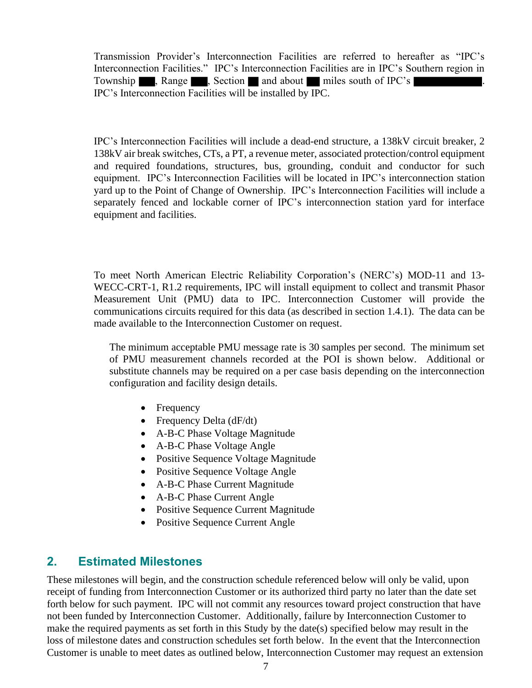Transmission Provider's Interconnection Facilities are referred to hereafter as "IPC's Interconnection Facilities." IPC's Interconnection Facilities are in IPC's Southern region in Township , Range , Section and about miles south of IPC's IPC's Interconnection Facilities will be installed by IPC.

IPC's Interconnection Facilities will include a dead-end structure, a 138kV circuit breaker, 2 138kV air break switches, CTs, a PT, a revenue meter, associated protection/control equipment and required foundations, structures, bus, grounding, conduit and conductor for such equipment. IPC's Interconnection Facilities will be located in IPC's interconnection station yard up to the Point of Change of Ownership. IPC's Interconnection Facilities will include a separately fenced and lockable corner of IPC's interconnection station yard for interface equipment and facilities.

To meet North American Electric Reliability Corporation's (NERC's) MOD-11 and 13- WECC-CRT-1, R1.2 requirements, IPC will install equipment to collect and transmit Phasor Measurement Unit (PMU) data to IPC. Interconnection Customer will provide the communications circuits required for this data (as described in section 1.4.1). The data can be made available to the Interconnection Customer on request.

The minimum acceptable PMU message rate is 30 samples per second. The minimum set of PMU measurement channels recorded at the POI is shown below. Additional or substitute channels may be required on a per case basis depending on the interconnection configuration and facility design details.

- Frequency
- Frequency Delta  $(dF/dt)$
- A-B-C Phase Voltage Magnitude
- A-B-C Phase Voltage Angle
- Positive Sequence Voltage Magnitude
- Positive Sequence Voltage Angle
- A-B-C Phase Current Magnitude
- A-B-C Phase Current Angle
- Positive Sequence Current Magnitude
- Positive Sequence Current Angle

# **2. Estimated Milestones**

These milestones will begin, and the construction schedule referenced below will only be valid, upon receipt of funding from Interconnection Customer or its authorized third party no later than the date set forth below for such payment. IPC will not commit any resources toward project construction that have not been funded by Interconnection Customer. Additionally, failure by Interconnection Customer to make the required payments as set forth in this Study by the date(s) specified below may result in the loss of milestone dates and construction schedules set forth below. In the event that the Interconnection Customer is unable to meet dates as outlined below, Interconnection Customer may request an extension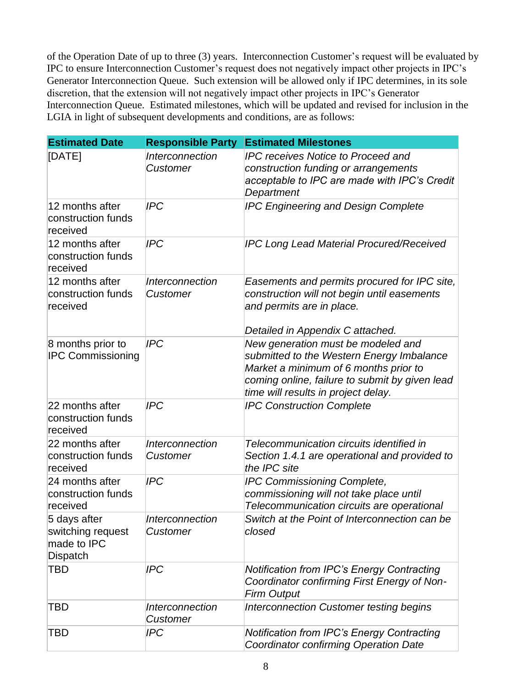of the Operation Date of up to three (3) years. Interconnection Customer's request will be evaluated by IPC to ensure Interconnection Customer's request does not negatively impact other projects in IPC's Generator Interconnection Queue. Such extension will be allowed only if IPC determines, in its sole discretion, that the extension will not negatively impact other projects in IPC's Generator Interconnection Queue. Estimated milestones, which will be updated and revised for inclusion in the LGIA in light of subsequent developments and conditions, are as follows:

| <b>Estimated Date</b>                                        | <b>Responsible Party</b>                         | <b>Estimated Milestones</b>                                                                                                                                                                                       |  |  |
|--------------------------------------------------------------|--------------------------------------------------|-------------------------------------------------------------------------------------------------------------------------------------------------------------------------------------------------------------------|--|--|
| [DATE]                                                       | <b>Interconnection</b><br>Customer               | <b>IPC receives Notice to Proceed and</b><br>construction funding or arrangements<br>acceptable to IPC are made with IPC's Credit<br>Department                                                                   |  |  |
| 12 months after<br>construction funds<br>received            | <b>IPC</b>                                       | <b>IPC Engineering and Design Complete</b>                                                                                                                                                                        |  |  |
| 12 months after<br>construction funds<br>received            | <b>IPC</b>                                       | <b>IPC Long Lead Material Procured/Received</b>                                                                                                                                                                   |  |  |
| 12 months after<br>construction funds<br>received            | Interconnection<br>Customer                      | Easements and permits procured for IPC site,<br>construction will not begin until easements<br>and permits are in place.<br>Detailed in Appendix C attached.                                                      |  |  |
| 8 months prior to<br><b>IPC Commissioning</b>                | <b>IPC</b>                                       | New generation must be modeled and<br>submitted to the Western Energy Imbalance<br>Market a minimum of 6 months prior to<br>coming online, failure to submit by given lead<br>time will results in project delay. |  |  |
| 22 months after<br>construction funds<br>received            | <b>IPC</b>                                       | <b>IPC Construction Complete</b>                                                                                                                                                                                  |  |  |
| 22 months after<br>construction funds<br>received            | Interconnection<br>Customer                      | Telecommunication circuits identified in<br>Section 1.4.1 are operational and provided to<br>the IPC site                                                                                                         |  |  |
| 24 months after<br>construction funds<br>received            | <b>IPC</b>                                       | <b>IPC Commissioning Complete,</b><br>commissioning will not take place until<br>Telecommunication circuits are operational                                                                                       |  |  |
| 5 days after<br>switching request<br>made to IPC<br>Dispatch | <i><b>Interconnection</b></i><br><b>Customer</b> | Switch at the Point of Interconnection can be<br>closed                                                                                                                                                           |  |  |
| TBD                                                          | <b>IPC</b>                                       | <b>Notification from IPC's Energy Contracting</b><br>Coordinator confirming First Energy of Non-<br><b>Firm Output</b>                                                                                            |  |  |
| TBD                                                          | <i><b>Interconnection</b></i><br>Customer        | <b>Interconnection Customer testing begins</b>                                                                                                                                                                    |  |  |
| <b>TBD</b>                                                   | <b>IPC</b>                                       | <b>Notification from IPC's Energy Contracting</b><br>Coordinator confirming Operation Date                                                                                                                        |  |  |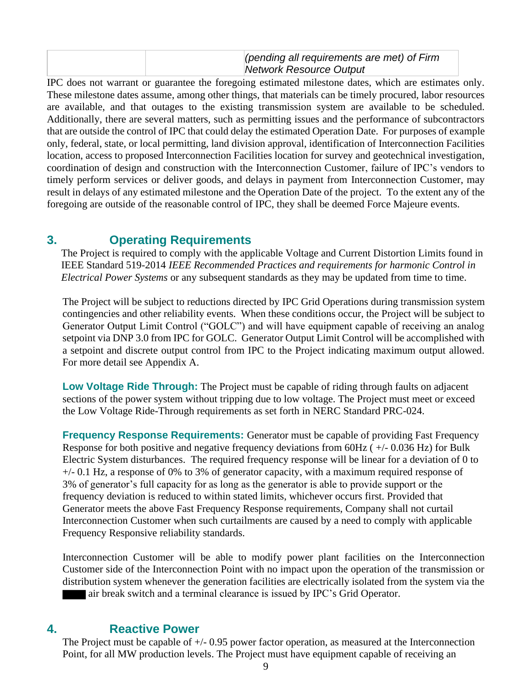| (pending all requirements are met) of Firm |  |
|--------------------------------------------|--|
| Network Resource Output                    |  |

IPC does not warrant or guarantee the foregoing estimated milestone dates, which are estimates only. These milestone dates assume, among other things, that materials can be timely procured, labor resources are available, and that outages to the existing transmission system are available to be scheduled. Additionally, there are several matters, such as permitting issues and the performance of subcontractors that are outside the control of IPC that could delay the estimated Operation Date. For purposes of example only, federal, state, or local permitting, land division approval, identification of Interconnection Facilities location, access to proposed Interconnection Facilities location for survey and geotechnical investigation, coordination of design and construction with the Interconnection Customer, failure of IPC's vendors to timely perform services or deliver goods, and delays in payment from Interconnection Customer, may result in delays of any estimated milestone and the Operation Date of the project. To the extent any of the foregoing are outside of the reasonable control of IPC, they shall be deemed Force Majeure events.

# **3. Operating Requirements**

The Project is required to comply with the applicable Voltage and Current Distortion Limits found in IEEE Standard 519-2014 *IEEE Recommended Practices and requirements for harmonic Control in Electrical Power Systems* or any subsequent standards as they may be updated from time to time.

The Project will be subject to reductions directed by IPC Grid Operations during transmission system contingencies and other reliability events. When these conditions occur, the Project will be subject to Generator Output Limit Control ("GOLC") and will have equipment capable of receiving an analog setpoint via DNP 3.0 from IPC for GOLC. Generator Output Limit Control will be accomplished with a setpoint and discrete output control from IPC to the Project indicating maximum output allowed. For more detail see Appendix A.

**Low Voltage Ride Through:** The Project must be capable of riding through faults on adjacent sections of the power system without tripping due to low voltage. The Project must meet or exceed the Low Voltage Ride-Through requirements as set forth in NERC Standard PRC-024.

**Frequency Response Requirements:** Generator must be capable of providing Fast Frequency Response for both positive and negative frequency deviations from 60Hz ( +/- 0.036 Hz) for Bulk Electric System disturbances. The required frequency response will be linear for a deviation of 0 to +/- 0.1 Hz, a response of 0% to 3% of generator capacity, with a maximum required response of 3% of generator's full capacity for as long as the generator is able to provide support or the frequency deviation is reduced to within stated limits, whichever occurs first. Provided that Generator meets the above Fast Frequency Response requirements, Company shall not curtail Interconnection Customer when such curtailments are caused by a need to comply with applicable Frequency Responsive reliability standards.

Interconnection Customer will be able to modify power plant facilities on the Interconnection Customer side of the Interconnection Point with no impact upon the operation of the transmission or distribution system whenever the generation facilities are electrically isolated from the system via the air break switch and a terminal clearance is issued by IPC's Grid Operator.

# **4. Reactive Power**

The Project must be capable of  $+/- 0.95$  power factor operation, as measured at the Interconnection Point, for all MW production levels. The Project must have equipment capable of receiving an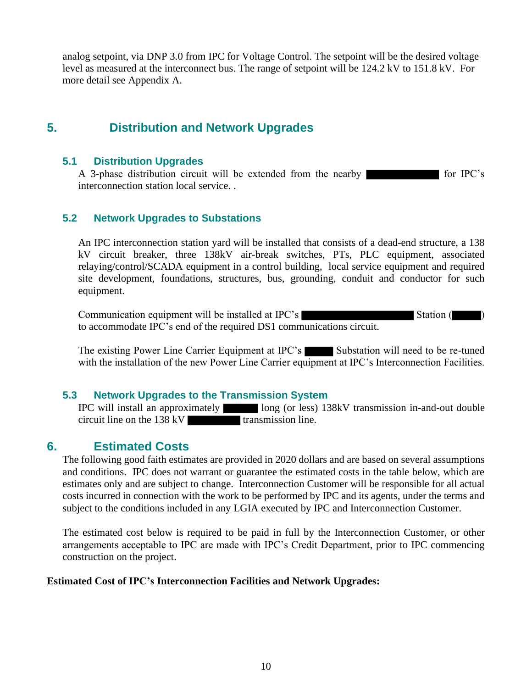analog setpoint, via DNP 3.0 from IPC for Voltage Control. The setpoint will be the desired voltage level as measured at the interconnect bus. The range of setpoint will be 124.2 kV to 151.8 kV. For more detail see Appendix A.

# **5. Distribution and Network Upgrades**

### **5.1 Distribution Upgrades**

A 3-phase distribution circuit will be extended from the nearby for IPC's interconnection station local service. .

### **5.2 Network Upgrades to Substations**

An IPC interconnection station yard will be installed that consists of a dead-end structure, a 138 kV circuit breaker, three 138kV air-break switches, PTs, PLC equipment, associated relaying/control/SCADA equipment in a control building, local service equipment and required site development, foundations, structures, bus, grounding, conduit and conductor for such equipment.

Communication equipment will be installed at IPC's Station (Station ( to accommodate IPC's end of the required DS1 communications circuit.

The existing Power Line Carrier Equipment at IPC's Substation will need to be re-tuned with the installation of the new Power Line Carrier equipment at IPC's Interconnection Facilities.

### **5.3 Network Upgrades to the Transmission System**

IPC will install an approximately long (or less) 138kV transmission in-and-out double  $circuit line on the 138 kV$  transmission line.

## **6. Estimated Costs**

The following good faith estimates are provided in 2020 dollars and are based on several assumptions and conditions. IPC does not warrant or guarantee the estimated costs in the table below, which are estimates only and are subject to change. Interconnection Customer will be responsible for all actual costs incurred in connection with the work to be performed by IPC and its agents, under the terms and subject to the conditions included in any LGIA executed by IPC and Interconnection Customer.

The estimated cost below is required to be paid in full by the Interconnection Customer, or other arrangements acceptable to IPC are made with IPC's Credit Department, prior to IPC commencing construction on the project.

### **Estimated Cost of IPC's Interconnection Facilities and Network Upgrades:**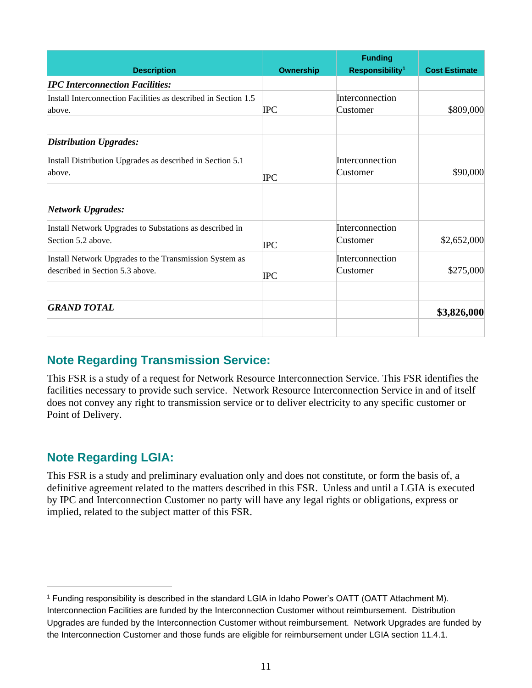| <b>Description</b>                                                                        | <b>Ownership</b> | <b>Funding</b><br>Responsibility <sup>1</sup> | <b>Cost Estimate</b> |
|-------------------------------------------------------------------------------------------|------------------|-----------------------------------------------|----------------------|
| <b>IPC Interconnection Facilities:</b>                                                    |                  |                                               |                      |
| Install Interconnection Facilities as described in Section 1.5<br>above.                  | <b>IPC</b>       | <b>Interconnection</b><br>Customer            | \$809,000            |
| <b>Distribution Upgrades:</b>                                                             |                  |                                               |                      |
| Install Distribution Upgrades as described in Section 5.1<br>above.                       | <b>IPC</b>       | Interconnection<br>Customer                   | \$90,000             |
| <b>Network Upgrades:</b>                                                                  |                  |                                               |                      |
| Install Network Upgrades to Substations as described in<br>Section 5.2 above.             | <b>IPC</b>       | <b>Interconnection</b><br>Customer            | \$2,652,000          |
| Install Network Upgrades to the Transmission System as<br>described in Section 5.3 above. | <b>IPC</b>       | <b>Interconnection</b><br>Customer            | \$275,000            |
| <b>GRAND TOTAL</b>                                                                        |                  |                                               | \$3,826,000          |
|                                                                                           |                  |                                               |                      |

# **Note Regarding Transmission Service:**

This FSR is a study of a request for Network Resource Interconnection Service. This FSR identifies the facilities necessary to provide such service. Network Resource Interconnection Service in and of itself does not convey any right to transmission service or to deliver electricity to any specific customer or Point of Delivery.

# **Note Regarding LGIA:**

This FSR is a study and preliminary evaluation only and does not constitute, or form the basis of, a definitive agreement related to the matters described in this FSR. Unless and until a LGIA is executed by IPC and Interconnection Customer no party will have any legal rights or obligations, express or implied, related to the subject matter of this FSR.

<sup>1</sup> Funding responsibility is described in the standard LGIA in Idaho Power's OATT (OATT Attachment M). Interconnection Facilities are funded by the Interconnection Customer without reimbursement. Distribution Upgrades are funded by the Interconnection Customer without reimbursement. Network Upgrades are funded by the Interconnection Customer and those funds are eligible for reimbursement under LGIA section 11.4.1.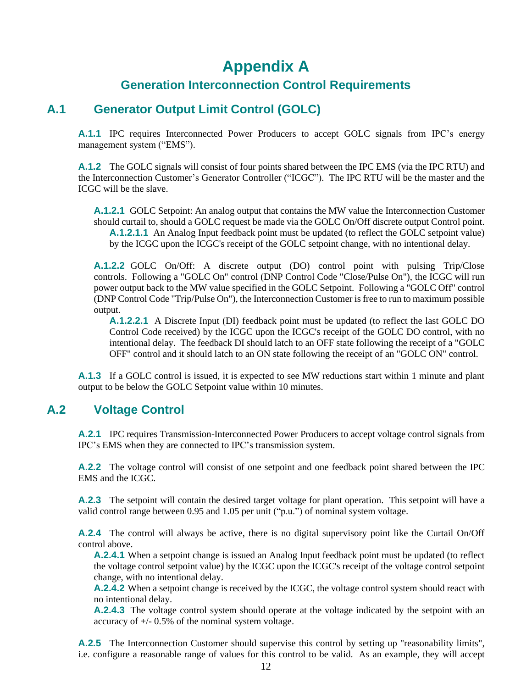# **Appendix A**

# **Generation Interconnection Control Requirements**

# **A.1 Generator Output Limit Control (GOLC)**

A.1.1 IPC requires Interconnected Power Producers to accept GOLC signals from IPC's energy management system ("EMS").

**A.1.2** The GOLC signals will consist of four points shared between the IPC EMS (via the IPC RTU) and the Interconnection Customer's Generator Controller ("ICGC"). The IPC RTU will be the master and the ICGC will be the slave.

**A.1.2.1** GOLC Setpoint: An analog output that contains the MW value the Interconnection Customer should curtail to, should a GOLC request be made via the GOLC On/Off discrete output Control point. **A.1.2.1.1** An Analog Input feedback point must be updated (to reflect the GOLC setpoint value) by the ICGC upon the ICGC's receipt of the GOLC setpoint change, with no intentional delay.

**A.1.2.2** GOLC On/Off: A discrete output (DO) control point with pulsing Trip/Close controls. Following a "GOLC On" control (DNP Control Code "Close/Pulse On"), the ICGC will run power output back to the MW value specified in the GOLC Setpoint. Following a "GOLC Off" control (DNP Control Code "Trip/Pulse On"), the Interconnection Customer is free to run to maximum possible output.

**A.1.2.2.1** A Discrete Input (DI) feedback point must be updated (to reflect the last GOLC DO Control Code received) by the ICGC upon the ICGC's receipt of the GOLC DO control, with no intentional delay. The feedback DI should latch to an OFF state following the receipt of a "GOLC OFF" control and it should latch to an ON state following the receipt of an "GOLC ON" control.

**A.1.3** If a GOLC control is issued, it is expected to see MW reductions start within 1 minute and plant output to be below the GOLC Setpoint value within 10 minutes.

## **A.2 Voltage Control**

**A.2.1** IPC requires Transmission-Interconnected Power Producers to accept voltage control signals from IPC's EMS when they are connected to IPC's transmission system.

**A.2.2** The voltage control will consist of one setpoint and one feedback point shared between the IPC EMS and the ICGC.

**A.2.3** The setpoint will contain the desired target voltage for plant operation. This setpoint will have a valid control range between 0.95 and 1.05 per unit ("p.u.") of nominal system voltage.

**A.2.4** The control will always be active, there is no digital supervisory point like the Curtail On/Off control above.

**A.2.4.1** When a setpoint change is issued an Analog Input feedback point must be updated (to reflect the voltage control setpoint value) by the ICGC upon the ICGC's receipt of the voltage control setpoint change, with no intentional delay.

**A.2.4.2** When a setpoint change is received by the ICGC, the voltage control system should react with no intentional delay.

**A.2.4.3** The voltage control system should operate at the voltage indicated by the setpoint with an accuracy of +/- 0.5% of the nominal system voltage.

**A.2.5** The Interconnection Customer should supervise this control by setting up "reasonability limits", i.e. configure a reasonable range of values for this control to be valid. As an example, they will accept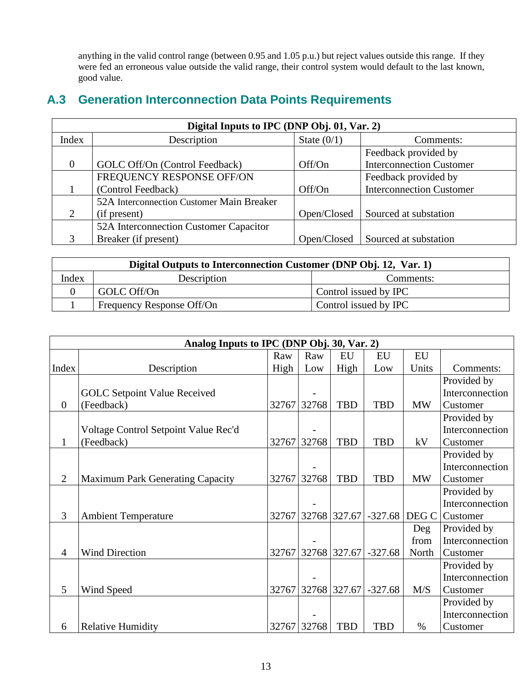anything in the valid control range (between 0.95 and 1.05 p.u.) but reject values outside this range. If they were fed an erroneous value outside the valid range, their control system would default to the last known, good value.

# **A.3 Generation Interconnection Data Points Requirements**

| Digital Inputs to IPC (DNP Obj. 01, Var. 2) |                                           |               |                                 |  |  |  |  |  |
|---------------------------------------------|-------------------------------------------|---------------|---------------------------------|--|--|--|--|--|
| Index                                       | Description                               | State $(0/1)$ | Comments:                       |  |  |  |  |  |
|                                             |                                           |               | Feedback provided by            |  |  |  |  |  |
| $\theta$                                    | GOLC Off/On (Control Feedback)            | Off/On        | <b>Interconnection Customer</b> |  |  |  |  |  |
|                                             | FREQUENCY RESPONSE OFF/ON                 |               | Feedback provided by            |  |  |  |  |  |
|                                             | (Control Feedback)                        | Off/On        | <b>Interconnection Customer</b> |  |  |  |  |  |
|                                             | 52A Interconnection Customer Main Breaker |               |                                 |  |  |  |  |  |
| 2                                           | (if present)                              | Open/Closed   | Sourced at substation           |  |  |  |  |  |
|                                             | 52A Interconnection Customer Capacitor    |               |                                 |  |  |  |  |  |
|                                             | Breaker (if present)                      | Open/Closed   | Sourced at substation           |  |  |  |  |  |

| Digital Outputs to Interconnection Customer (DNP Obj. 12, Var. 1) |                           |                       |  |  |  |  |  |
|-------------------------------------------------------------------|---------------------------|-----------------------|--|--|--|--|--|
| Index<br>Description<br>Comments:                                 |                           |                       |  |  |  |  |  |
|                                                                   | GOLC Off/On               | Control issued by IPC |  |  |  |  |  |
|                                                                   | Frequency Response Off/On | Control issued by IPC |  |  |  |  |  |

| Analog Inputs to IPC (DNP Obj. 30, Var. 2) |                                         |      |                    |                    |            |           |                 |  |
|--------------------------------------------|-----------------------------------------|------|--------------------|--------------------|------------|-----------|-----------------|--|
|                                            |                                         | Raw  | Raw                | EU                 | <b>EU</b>  | EU        |                 |  |
| Index                                      | Description                             | High | Low                | High               | Low        | Units     | Comments:       |  |
|                                            |                                         |      |                    |                    |            |           | Provided by     |  |
|                                            | <b>GOLC</b> Setpoint Value Received     |      |                    |                    |            |           | Interconnection |  |
| $\overline{0}$                             | (Feedback)                              |      | 32767 32768        | <b>TBD</b>         | <b>TBD</b> | <b>MW</b> | Customer        |  |
|                                            |                                         |      |                    |                    |            |           | Provided by     |  |
|                                            | Voltage Control Setpoint Value Rec'd    |      |                    |                    |            |           | Interconnection |  |
| $\mathbf{1}$                               | (Feedback)                              |      | 32767 32768        | <b>TBD</b>         | <b>TBD</b> | kV        | Customer        |  |
|                                            |                                         |      |                    |                    |            |           | Provided by     |  |
|                                            |                                         |      |                    |                    |            |           | Interconnection |  |
| $\overline{2}$                             | <b>Maximum Park Generating Capacity</b> |      | 32767 32768        | <b>TBD</b>         | <b>TBD</b> | <b>MW</b> | Customer        |  |
|                                            |                                         |      |                    |                    |            |           | Provided by     |  |
|                                            |                                         |      |                    |                    |            |           | Interconnection |  |
| 3                                          | <b>Ambient Temperature</b>              |      |                    | 32767 32768 327.67 | $-327.68$  | DEG C     | Customer        |  |
|                                            |                                         |      |                    |                    |            | Deg       | Provided by     |  |
|                                            |                                         |      |                    |                    |            | from      | Interconnection |  |
| $\overline{4}$                             | <b>Wind Direction</b>                   |      |                    | 32767 32768 327.67 | $-327.68$  | North     | Customer        |  |
|                                            |                                         |      |                    |                    |            |           | Provided by     |  |
|                                            |                                         |      |                    |                    |            |           | Interconnection |  |
| 5                                          | Wind Speed                              |      | 32767 32768 327.67 |                    | $-327.68$  | M/S       | Customer        |  |
|                                            |                                         |      |                    |                    |            |           | Provided by     |  |
|                                            |                                         |      |                    |                    |            |           | Interconnection |  |
| 6                                          | <b>Relative Humidity</b>                |      | 32767 32768        | <b>TBD</b>         | <b>TBD</b> | $\%$      | Customer        |  |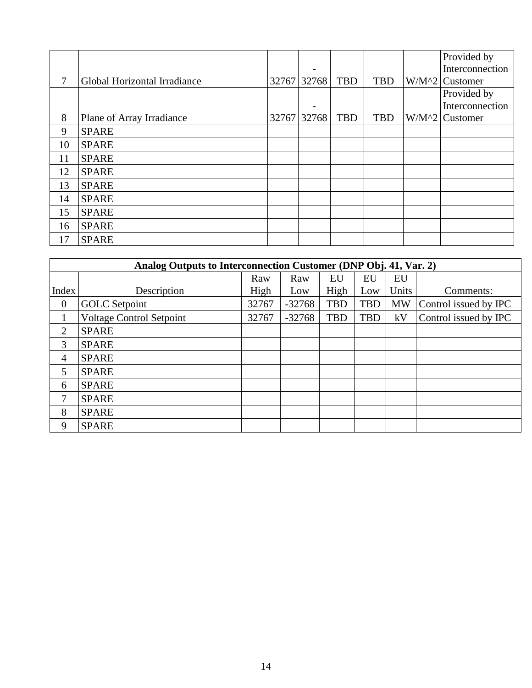|    |                              |                          |            |            | Provided by      |
|----|------------------------------|--------------------------|------------|------------|------------------|
|    |                              | $\overline{\phantom{a}}$ |            |            | Interconnection  |
| 7  | Global Horizontal Irradiance | 32767 32768              | <b>TBD</b> | <b>TBD</b> | $W/M^2$ Customer |
|    |                              |                          |            |            | Provided by      |
|    |                              | $\overline{\phantom{a}}$ |            |            | Interconnection  |
| 8  | Plane of Array Irradiance    | 32767 32768              | <b>TBD</b> | <b>TBD</b> | $W/M^2$ Customer |
| 9  | <b>SPARE</b>                 |                          |            |            |                  |
| 10 | <b>SPARE</b>                 |                          |            |            |                  |
| 11 | <b>SPARE</b>                 |                          |            |            |                  |
| 12 | <b>SPARE</b>                 |                          |            |            |                  |
| 13 | <b>SPARE</b>                 |                          |            |            |                  |
| 14 | <b>SPARE</b>                 |                          |            |            |                  |
| 15 | <b>SPARE</b>                 |                          |            |            |                  |
| 16 | <b>SPARE</b>                 |                          |            |            |                  |
| 17 | <b>SPARE</b>                 |                          |            |            |                  |

|              | Analog Outputs to Interconnection Customer (DNP Obj. 41, Var. 2) |       |          |            |            |           |                       |  |  |  |
|--------------|------------------------------------------------------------------|-------|----------|------------|------------|-----------|-----------------------|--|--|--|
|              |                                                                  | Raw   | Raw      | EU         | EU         | EU        |                       |  |  |  |
| Index        | Description                                                      | High  | Low      | High       | Low        | Units     | Comments:             |  |  |  |
| $\mathbf{0}$ | <b>GOLC</b> Setpoint                                             | 32767 | $-32768$ | <b>TBD</b> | <b>TBD</b> | <b>MW</b> | Control issued by IPC |  |  |  |
|              | <b>Voltage Control Setpoint</b>                                  | 32767 | $-32768$ | <b>TBD</b> | <b>TBD</b> | kV        | Control issued by IPC |  |  |  |
| 2            | <b>SPARE</b>                                                     |       |          |            |            |           |                       |  |  |  |
| 3            | <b>SPARE</b>                                                     |       |          |            |            |           |                       |  |  |  |
| 4            | <b>SPARE</b>                                                     |       |          |            |            |           |                       |  |  |  |
| 5            | <b>SPARE</b>                                                     |       |          |            |            |           |                       |  |  |  |
| 6            | <b>SPARE</b>                                                     |       |          |            |            |           |                       |  |  |  |
| 7            | <b>SPARE</b>                                                     |       |          |            |            |           |                       |  |  |  |
| 8            | <b>SPARE</b>                                                     |       |          |            |            |           |                       |  |  |  |
| 9            | <b>SPARE</b>                                                     |       |          |            |            |           |                       |  |  |  |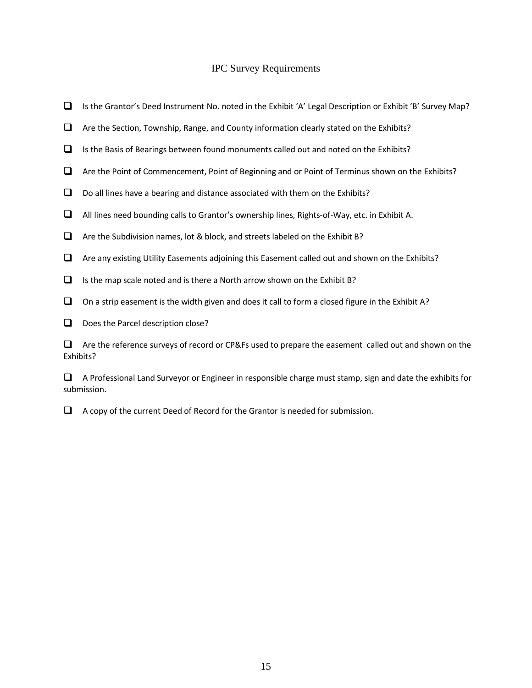### IPC Survey Requirements

- ❑ Is the Grantor's Deed Instrument No. noted in the Exhibit 'A' Legal Description or Exhibit 'B' Survey Map?
- ❑ Are the Section, Township, Range, and County information clearly stated on the Exhibits?
- $□$  Is the Basis of Bearings between found monuments called out and noted on the Exhibits?
- ❑ Are the Point of Commencement, Point of Beginning and or Point of Terminus shown on the Exhibits?
- $\Box$  Do all lines have a bearing and distance associated with them on the Exhibits?
- ❑ All lines need bounding calls to Grantor's ownership lines, Rights-of-Way, etc. in Exhibit A.
- ❑ Are the Subdivision names, lot & block, and streets labeled on the Exhibit B?
- ❑ Are any existing Utility Easements adjoining this Easement called out and shown on the Exhibits?
- $\Box$  Is the map scale noted and is there a North arrow shown on the Exhibit B?
- $\Box$  On a strip easement is the width given and does it call to form a closed figure in the Exhibit A?
- □ Does the Parcel description close?

❑ Are the reference surveys of record or CP&Fs used to prepare the easement called out and shown on the Exhibits?

❑ A Professional Land Surveyor or Engineer in responsible charge must stamp, sign and date the exhibits for submission.

❑ A copy of the current Deed of Record for the Grantor is needed for submission.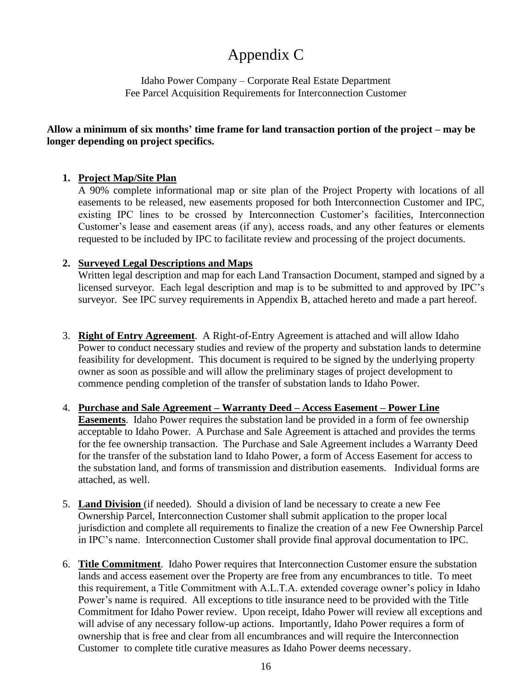# Appendix C

Idaho Power Company – Corporate Real Estate Department Fee Parcel Acquisition Requirements for Interconnection Customer

### **Allow a minimum of six months' time frame for land transaction portion of the project – may be longer depending on project specifics.**

### **1. Project Map/Site Plan**

A 90% complete informational map or site plan of the Project Property with locations of all easements to be released, new easements proposed for both Interconnection Customer and IPC, existing IPC lines to be crossed by Interconnection Customer's facilities, Interconnection Customer's lease and easement areas (if any), access roads, and any other features or elements requested to be included by IPC to facilitate review and processing of the project documents.

### **2. Surveyed Legal Descriptions and Maps**

Written legal description and map for each Land Transaction Document, stamped and signed by a licensed surveyor. Each legal description and map is to be submitted to and approved by IPC's surveyor. See IPC survey requirements in Appendix B, attached hereto and made a part hereof.

- 3. **Right of Entry Agreement**. A Right-of-Entry Agreement is attached and will allow Idaho Power to conduct necessary studies and review of the property and substation lands to determine feasibility for development. This document is required to be signed by the underlying property owner as soon as possible and will allow the preliminary stages of project development to commence pending completion of the transfer of substation lands to Idaho Power.
- 4. **Purchase and Sale Agreement – Warranty Deed – Access Easement – Power Line Easements**. Idaho Power requires the substation land be provided in a form of fee ownership acceptable to Idaho Power. A Purchase and Sale Agreement is attached and provides the terms for the fee ownership transaction. The Purchase and Sale Agreement includes a Warranty Deed for the transfer of the substation land to Idaho Power, a form of Access Easement for access to the substation land, and forms of transmission and distribution easements. Individual forms are attached, as well.
- 5. **Land Division** (if needed). Should a division of land be necessary to create a new Fee Ownership Parcel, Interconnection Customer shall submit application to the proper local jurisdiction and complete all requirements to finalize the creation of a new Fee Ownership Parcel in IPC's name. Interconnection Customer shall provide final approval documentation to IPC.
- 6. **Title Commitment**. Idaho Power requires that Interconnection Customer ensure the substation lands and access easement over the Property are free from any encumbrances to title. To meet this requirement, a Title Commitment with A.L.T.A. extended coverage owner's policy in Idaho Power's name is required. All exceptions to title insurance need to be provided with the Title Commitment for Idaho Power review. Upon receipt, Idaho Power will review all exceptions and will advise of any necessary follow-up actions. Importantly, Idaho Power requires a form of ownership that is free and clear from all encumbrances and will require the Interconnection Customer to complete title curative measures as Idaho Power deems necessary.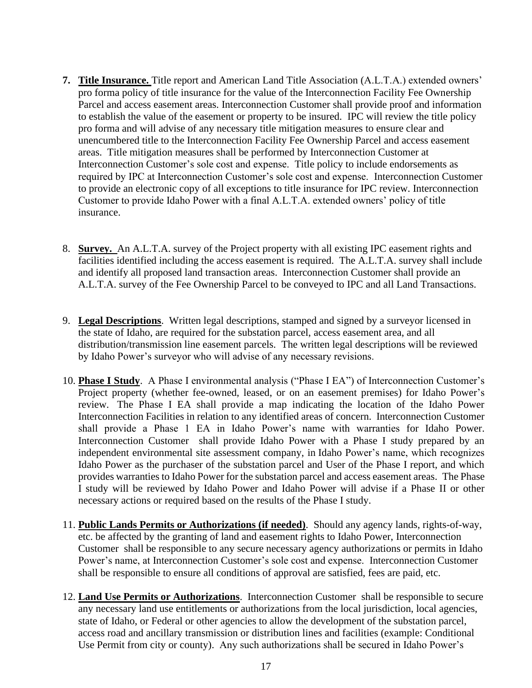- **7. Title Insurance.** Title report and American Land Title Association (A.L.T.A.) extended owners' pro forma policy of title insurance for the value of the Interconnection Facility Fee Ownership Parcel and access easement areas. Interconnection Customer shall provide proof and information to establish the value of the easement or property to be insured. IPC will review the title policy pro forma and will advise of any necessary title mitigation measures to ensure clear and unencumbered title to the Interconnection Facility Fee Ownership Parcel and access easement areas. Title mitigation measures shall be performed by Interconnection Customer at Interconnection Customer's sole cost and expense. Title policy to include endorsements as required by IPC at Interconnection Customer's sole cost and expense. Interconnection Customer to provide an electronic copy of all exceptions to title insurance for IPC review. Interconnection Customer to provide Idaho Power with a final A.L.T.A. extended owners' policy of title insurance.
- 8. **Survey.** An A.L.T.A. survey of the Project property with all existing IPC easement rights and facilities identified including the access easement is required. The A.L.T.A. survey shall include and identify all proposed land transaction areas. Interconnection Customer shall provide an A.L.T.A. survey of the Fee Ownership Parcel to be conveyed to IPC and all Land Transactions.
- 9. **Legal Descriptions**. Written legal descriptions, stamped and signed by a surveyor licensed in the state of Idaho, are required for the substation parcel, access easement area, and all distribution/transmission line easement parcels. The written legal descriptions will be reviewed by Idaho Power's surveyor who will advise of any necessary revisions.
- 10. **Phase I Study**. A Phase I environmental analysis ("Phase I EA") of Interconnection Customer's Project property (whether fee-owned, leased, or on an easement premises) for Idaho Power's review. The Phase I EA shall provide a map indicating the location of the Idaho Power Interconnection Facilities in relation to any identified areas of concern. Interconnection Customer shall provide a Phase 1 EA in Idaho Power's name with warranties for Idaho Power. Interconnection Customer shall provide Idaho Power with a Phase I study prepared by an independent environmental site assessment company, in Idaho Power's name, which recognizes Idaho Power as the purchaser of the substation parcel and User of the Phase I report, and which provides warranties to Idaho Power for the substation parcel and access easement areas. The Phase I study will be reviewed by Idaho Power and Idaho Power will advise if a Phase II or other necessary actions or required based on the results of the Phase I study.
- 11. **Public Lands Permits or Authorizations (if needed)**. Should any agency lands, rights-of-way, etc. be affected by the granting of land and easement rights to Idaho Power, Interconnection Customer shall be responsible to any secure necessary agency authorizations or permits in Idaho Power's name, at Interconnection Customer's sole cost and expense. Interconnection Customer shall be responsible to ensure all conditions of approval are satisfied, fees are paid, etc.
- 12. **Land Use Permits or Authorizations**. Interconnection Customer shall be responsible to secure any necessary land use entitlements or authorizations from the local jurisdiction, local agencies, state of Idaho, or Federal or other agencies to allow the development of the substation parcel, access road and ancillary transmission or distribution lines and facilities (example: Conditional Use Permit from city or county). Any such authorizations shall be secured in Idaho Power's